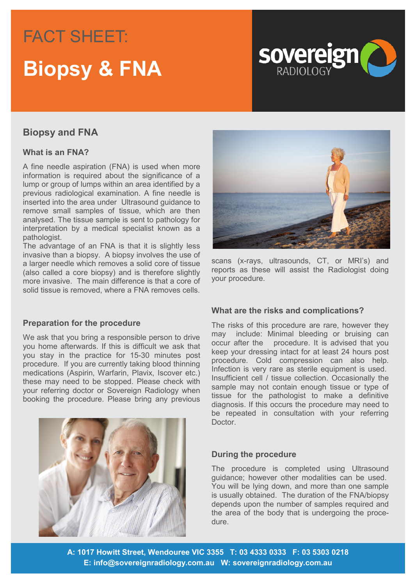## FACT SHEET: FACT SHEET: **Headling & FNA**



### **Biopsy and FNA**

#### **What is an FNA?**

A fine needle aspiration (FNA) is used when more information is required about the significance of a lump or group of lumps within an area identified by a previous radiological examination. A fine needle is inserted into the area under Ultrasound guidance to remove small samples of tissue, which are then analysed. The tissue sample is sent to pathology for interpretation by a medical specialist known as a pathologist.

The advantage of an FNA is that it is slightly less invasive than a biopsy. A biopsy involves the use of a larger needle which removes a solid core of tissue (also called a core biopsy) and is therefore slightly more invasive. The main difference is that a core of solid tissue is removed, where a FNA removes cells.

#### **Preparation for the procedure**

We ask that you bring a responsible person to drive you home afterwards. If this is difficult we ask that you stay in the practice for 15-30 minutes post procedure. If you are currently taking blood thinning medications (Aspirin, Warfarin, Plavix, Iscover etc.) these may need to be stopped. Please check with your referring doctor or Sovereign Radiology when booking the procedure. Please bring any previous





scans (x-rays, ultrasounds, CT, or MRI's) and reports as these will assist the Radiologist doing your procedure.

#### **What are the risks and complications?**

The risks of this procedure are rare, however they may include: Minimal bleeding or bruising can occur after the procedure. It is advised that you keep your dressing intact for at least 24 hours post procedure. Cold compression can also help. Infection is very rare as sterile equipment is used. Insufficient cell / tissue collection. Occasionally the sample may not contain enough tissue or type of tissue for the pathologist to make a definitive diagnosis. If this occurs the procedure may need to be repeated in consultation with your referring Doctor.

#### **During the procedure**

The procedure is completed using Ultrasound guidance; however other modalities can be used. You will be lying down, and more than one sample is usually obtained. The duration of the FNA/biopsy depends upon the number of samples required and the area of the body that is undergoing the procedure.

**A: 1017 Howitt Street, Wendouree VIC 3355 T: 03 4333 0333 F: 03 5303 0218 E: info@sovereignradiology.com.au W: sovereignradiology.com.au**